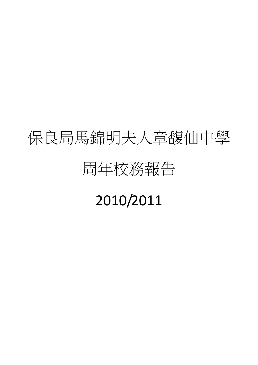# 保良局馬錦明夫人章馥仙中學

# 周年校務報告

# 2010/2011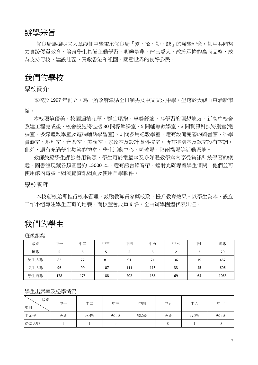# 辦學宗旨

保良局馬錦明夫人章馥仙中學秉承保良局「愛、敬、勤、誠」的辦學理念,師生共同努 力實踐優質教育,培育學生具備主動學習、明辨是非、律己愛人、敢於承擔的高尚品格,成 為支持母校、建設社區、貢獻香港和祖國、關愛世界的良好公民。

# 我們的學校

學校簡介

本校於 1997 年創立,為一所政府津貼全日制男女中文文法中學。坐落於大嶼山東涌新市 鎮。

本校環境優美,校園遍植花草,群山環抱,寧靜舒適,為學習的理想地方。新高中校舍 改建工程完成後,校舍設施將包括 30 間標準課室、5 間輔導教學室、3 間資訊科技特別室(電 腦室、多媒體教學室及電腦輔助學習室)、1間多用途教學室,還有設備完善的圖書館、科學 實驗室、地理室、音樂室、美術室、家政室及設計與科技室。所有特別室及課室設有空調。 此外,還有充滿學生歡笑的禮堂、學生活動中心、籃球場、陰雨操場等活動場地。

教師鼓勵學生課餘善用資源,學生可於電腦室及多媒體教學室內享受資訊科技學習的樂 趣。圖書館現藏各類圖書約 15000 本,還有語言錄音帶、鐳射光碟等讓學生借閱,他們並可 使用館內電腦上網瀏覽資訊網頁及使用自學軟件。

#### 學校管理

本校創校始即推行校本管理,鼓勵教職員參與校政,提升教育效果。以學生為本,設立 工作小組專注學生五育的培養。而校董會成員9名,全由辦學團體代表出任。

# 我們的學生

班級組織

| 級別   | 中一  | 中二<br>$\sim$ | 中三  | 中四  | 中五  | 中六 | 中七 | 總數   |
|------|-----|--------------|-----|-----|-----|----|----|------|
| 班數   | 5   |              |     | 5   | 5   | ∍  |    | 29   |
| 男生人數 | 82  | 77           | 81  | 91  | 71  | 36 | 19 | 457  |
| 女生人數 | 96  | 99           | 107 | 111 | 115 | 33 | 45 | 606  |
| 學生總數 | 178 | 176          | 188 | 202 | 186 | 69 | 64 | 1063 |

#### 學生出席率及退學情況

| 級別<br>項目 | 中一  | 中二    | 中三    | 中四    | 中五  | 中六    | 中七    |
|----------|-----|-------|-------|-------|-----|-------|-------|
| 出席率      | 98% | 98.4% | 98.5% | 98.6% | 98% | 97.2% | 98.2% |
| 退學人數     |     |       |       |       |     |       |       |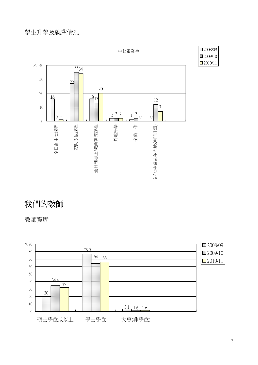中七畢業生





# 我們的教師

教師資歷

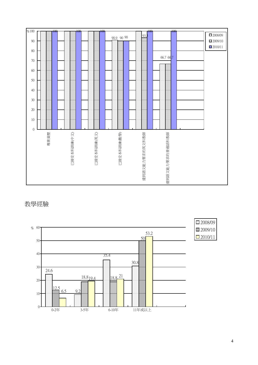

教學經驗

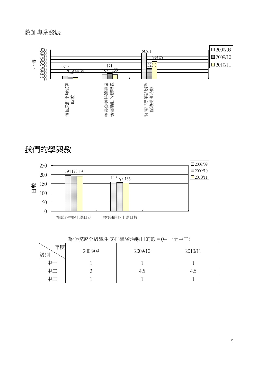# 教師專業發展



# 我們的學與教



| 年度<br>級別 | 2008/09 | 2009/10 | 2010/11 |
|----------|---------|---------|---------|
|          |         |         |         |
|          |         | 4.J     |         |
|          |         |         |         |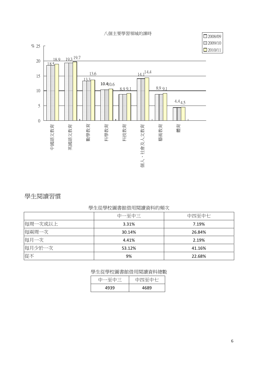八個主要學習領域的課時



# 學生閱讀習慣

### 學生從學校圖書館借用閱讀資料的頻次

|         | 中一至中三  | 中四至中七  |
|---------|--------|--------|
| 每周一次或以上 | 3.31%  | 7.19%  |
| 每兩周一次   | 30.14% | 26.84% |
| 每月一次    | 4.41%  | 2.19%  |
| 每月少於一次  | 53.12% | 41.16% |
| 從不      | 9%     | 22.68% |

#### 學生從學校圖書館借用閱讀資料總數

|      | – <del>mi 7.*</del> –<br>∶⊢—∟ ⊤<br>$\overline{\phantom{0}}$ |
|------|-------------------------------------------------------------|
| 4939 | 4689                                                        |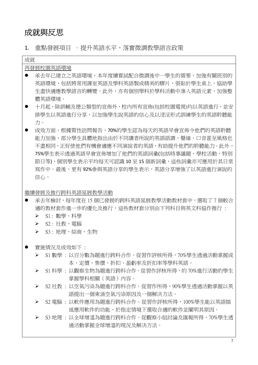# 成就與反思

成就

1. 重點發展項目 - 提升英語水平,落實微調教學語言政策

| 再發展校園英語環境                              |
|----------------------------------------|
| 承夫年已建立之英語環境,本年度續嘗試配合微調後中一學牛的需要,加強有關班別的 |
| 英語環境,包括將常用課室英語及學科英語製成精美的膠片,張貼於學牛桌上,協助學 |
| 生盡快適應教學語言的轉變。此外,亦有個別學科於學科活動中滲入英語元素,加強整 |
| 體英語環境。                                 |
|                                        |

- z 十月起,除訓輔及德公類型的宣佈外,校內所有宣佈(包括校園電視)均以英語進行,並安 排學生以英語進行分享,以加強學生說英語的信心及以浸淫形式訓練學生的英語聆聽能 力。
- 成效方面,根據質性訪問報告,70%的學生認為每天的英語早會宣佈令他們的英語聆聽 能力加強,部分學生具體地指出由於不同講者所說的英語語調、聲線、口音甚至風格也 不盡相同,正好使他們有機會適應不同演說者的英語,有助提升他們的聆聽能力。此外, 75%學生表示透過英語早會宣佈增加了他們的英語詞彙(包括時事議題、學校活動、特別 節日等),個別學生表示平均每天可認識 10 至 15 個新詞彙,這些詞彙亦可應用於其日常 寫作中。最後,更有 92%參與英語分享的學生表示,英語分享增強了以英語進行演說的 信心。

繼續發展及推行跨科英語延展教學活動

- 承去年檢討,每年度在 15個已發展的跨科英語延展教學活動教材套中,選取了7個較合 適的教材套作進一步的優化及推行,這些教材套分別由下列科目與英文科協作推行:
	- ▶ S1 : 數學、科學
	- ¾ S2 : 社教、電腦
	- ¾ S3 : 地理、綜商、生物
- 實施情況及成效如下:
	- ¾ S1 數學 : 以百分數為題進行跨科合作。從習作評核所得,70%學生透過活動掌握成 本、定價、售價、折扣、盈虧率及折扣率等學科英語。
	- ¾ S1 科學 : 以觀察生物為題進行跨科合作。從習作評核所得,約 70%進行活動的學生 掌握學科相關(英語)內容。
	- ¾ S2 社教 : 以空氣污染為題進行跨科合作。從習作所得,90%學生透過活動掌握以英 語提出一個東涌空氣污染原因及一個解決方法。
	- ¾ S2 電腦 : 以軟件應用為題進行跨科合作。從習作評核所得,100%學生能以英語描 述應用軟件的功能、於指定情境下選取合適的軟件並闡明其原因。
	- ¾ S3 地理 : 以全球增溫為題進行跨科合作。從觀察小組討論及匯報所得,70%學生透 過活動掌握全球增溫的現況及解決方法。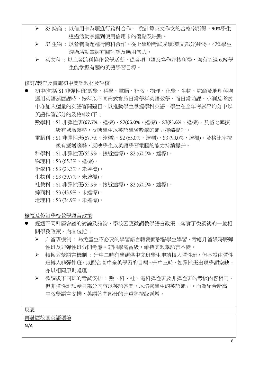- ¾ S3 綜商 : 以信用卡為題進行跨科合作。 從計算英文作文的合格率所得,90%學生 透過活動掌握到使用信用卡的優點及缺點。
- ¾ S3 生物 : 以營養為題進行跨科合作。從上學期考試成績(英文部分)所得,42%學生 透過活動掌握有關詞語及應用句式。
- ¾ 英文科 : 以上各跨科協作教學活動,從各項口語及寫作評核所得,均有超過 60%學 生能掌握有關的英語學習目標。

修訂/製作及實施初中雙語教材及評核

- 初中(包括 S1 非彈性班)數學、科學、電腦、社教、物理、化學、生物、綜商及地理科均 運用英語延展課時,按科以不同形式實施日常學科英語教學,而日常功課、小測及考試 中亦加入適量的英語答問題目,以推動學生掌握學科英語。學生在全年考試平均分中以 英語作答部分的及格率如下 :
	- 數學科 : S1 非彈性班(67.7%,達標)、S2(65.0%,達標)、S3(83.6%,達標)。及格比率按 級有遞增趨勢,反映學生以英語學習數學的能力持續提升。
	- 電腦科 : S1 非彈性班(67.7%,達標)、S2 (65.0%,達標)、S3 (90.0%,達標)。及格比率按 級有遞增趨勢,反映學生以英語學習電腦的能力持續提升。
	- 科學科 : S1 非彈性班(55.9%,接近達標)、S2 (60.5%,達標)。
	- 物理科 : S3 (65.3%,達標)。
	- 化學科 : S3 (23.3%,未達標)。
	- 生物科 : S3 (39.7%,未達標)。
	- 社教科 : S1 非彈性班(55.9%,接近達標)、S2 (60.5%,達標)。
	- 綜商科 : S3 (43.9%,未達標)。
	- 地理科 : S3 (34.9%,未達標)。

檢視及修訂學校教學語言政策

- z 經過不同科層會議的討論及諮詢,學校因應微調教學語言政策,落實了微調後的一些相 關學務政策,內容包括 :
	- ¾ 升留班機制 : 為免產生不必要的學習語言轉變而影響學生學習,考慮升留級時將彈 性班及非彈性班分開考慮。若同學需留級,維持其教學語言不變。
	- ¾ 轉換教學語言機制 : 升中二時有學額供中文班學生申請轉入彈性班,但不設由彈性 班轉入非彈性班,以配合高中全英學習的目標。升中三時,如彈性班出現學額空缺, 亦以相同原則處理。
	- ¾ 微調後不同班的考試安排 : 數、科、社、電科彈性班及非彈性班的考核內容相同, 但非彈性班試卷只部分內容以英語答問,以培養學生的英語能力。而為配合新高 中教學語言安排,英語答問部分的比重將按級遞增。

反思

再發展校園英語環境

N/A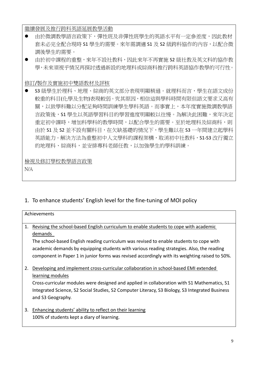繼續發展及推行跨科英語延展教學活動

- 由於微調教學語言政策下,彈性班及非彈性班學生的英語水平有一定參差度,因此教材 套未必完全配合現時 S1 學生的需要。來年需調適 S1 及 S2 級跨科協作的內容,以配合微 調後學生的需要。
- 由於初中課程的重整,來年不設社教科,因此來年不再實施 S2 級社教及英文科的協作教 學,未來須視乎情況再探討透過新設的地理科或綜商科推行跨科英語協作教學的可行性。

修訂/製作及實施初中雙語教材及評核

S3 級學生於理科、地理、綜商的英文部分表現明顯稍遜。就理科而言,學生在語文成份 較重的科目(化學及生物)表現較弱。究其原因,相信這與學科時間有限但語文要求又高有 關,以致學科難以分配足夠時間訓練學生學科英語。而事實上,本年度實施微調教學語 言政策後,S1學生以英語學習科目的學習進度明顯較以往慢。為解決此困難,來年決定 重定初中課時,增加科學科的教學時間,以配合學生的需要。至於地理科及綜商科,則 由於 S1 及 S2 並不設有關科目,在欠缺基礎的情況下,學生難以在 S3 一年間建立起學科 英語能力。解決方法為重整初中人文學科的課程架構,取消初中社教科,S1-S3 改行獨立 的地理科、綜商科,並安排專科老師任教,以加強學生的學科訓練。

### 檢視及修訂學校教學語言政策

N/A

1. To enhance students' English level for the fine-tuning of MOI policy

|    | Achievements                                                                                    |  |  |  |  |  |
|----|-------------------------------------------------------------------------------------------------|--|--|--|--|--|
|    |                                                                                                 |  |  |  |  |  |
| 1. | Revising the school-based English curriculum to enable students to cope with academic           |  |  |  |  |  |
|    | demands                                                                                         |  |  |  |  |  |
|    | The school-based English reading curriculum was revised to enable students to cope with         |  |  |  |  |  |
|    | academic demands by equipping students with various reading strategies. Also, the reading       |  |  |  |  |  |
|    | component in Paper 1 in junior forms was revised accordingly with its weighting raised to 50%.  |  |  |  |  |  |
|    |                                                                                                 |  |  |  |  |  |
| 2. | Developing and implement cross-curricular collaboration in school-based EMI extended            |  |  |  |  |  |
|    | learning modules                                                                                |  |  |  |  |  |
|    | Cross-curricular modules were designed and applied in collaboration with S1 Mathematics, S1     |  |  |  |  |  |
|    | Integrated Science, S2 Social Studies, S2 Computer Literacy, S3 Biology, S3 Integrated Business |  |  |  |  |  |
|    | and S3 Geography.                                                                               |  |  |  |  |  |
|    |                                                                                                 |  |  |  |  |  |
| 3. | Enhancing students' ability to reflect on their learning                                        |  |  |  |  |  |

100% of students kept a diary of learning.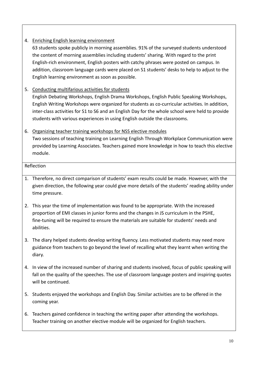### 4. Enriching English learning environment

63 students spoke publicly in morning assemblies. 91% of the surveyed students understood the content of morning assemblies including students' sharing. With regard to the print English‐rich environment, English posters with catchy phrases were posted on campus. In addition, classroom language cards were placed on S1 students' desks to help to adjust to the English learning environment as soon as possible.

### 5. Conducting multifarious activities for students

English Debating Workshops, English Drama Workshops, English Public Speaking Workshops, English Writing Workshops were organized for students as co‐curricular activities. In addition, inter-class activities for S1 to S6 and an English Day for the whole school were held to provide students with various experiences in using English outside the classrooms.

### 6. Organizing teacher training workshops for NSS elective modules

Two sessions of teaching training on Learning English Through Workplace Communication were provided by Learning Associates. Teachers gained more knowledge in how to teach this elective module.

### Reflection

- 1. Therefore, no direct comparison of students' exam results could be made. However, with the given direction, the following year could give more details of the students' reading ability under time pressure.
- 2. This year the time of implementation was found to be appropriate. With the increased proportion of EMI classes in junior forms and the changes in JS curriculum in the PSHE, fine-tuning will be required to ensure the materials are suitable for students' needs and abilities.
- 3. The diary helped students develop writing fluency. Less motivated students may need more guidance from teachers to go beyond the level of recalling what they learnt when writing the diary.
- 4. In view of the increased number of sharing and students involved, focus of public speaking will fall on the quality of the speeches. The use of classroom language posters and inspiring quotes will be continued.
- 5. Students enjoyed the workshops and English Day. Similar activities are to be offered in the coming year.
- 6. Teachers gained confidence in teaching the writing paper after attending the workshops. Teacher training on another elective module will be organized for English teachers.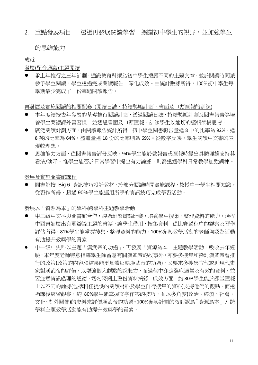2. 重點發展項目 - 透過再發展閱讀學習,擴闊初中學生的視野,並加強學生

的思維能力

| 成就                                             |
|------------------------------------------------|
| 發展(配合通識)主題閱讀                                   |
| 承上年推行之三年計劃,通識教育科續為初中學生搜羅不同的主題文章,並於閱讀時間派        |
| 發予學生閱讀,學生透過完成閱讀報告,深化成效。由統計數據所得,100%初中學生每       |
| 學期最少完成了一份專題閱讀報告。                               |
|                                                |
| 再發展及實施閱讀的相關配套(閱讀日誌、持續獎勵計劃、書面及口頭匯報的訓練)          |
| 本年度續按去年發展的基礎推行閱讀計劃,透過閱讀日誌、持續獎勵計劃及閱書報告等培        |
| 養學生閱讀課外書習慣。並透過書面及口頭匯報,訓練學生以適切的邏輯架構思考。          |
| 廣泛閱讀計劃方面,由閱讀報告統計所得,初中學生閱書報告量達8中的比率為 92%、達      |
| 8 英的比率為 64%,整體量達 18 份的比率則為 69%。從數字反映,學生閱讀中文書的表 |
| 現較理想。                                          |
| 思維能力方面,從閱書報告評分反映,94%學生能於做報告或匯報時提出具體理據支持其       |
| 看法/演示。惟學生能否於日常學習中提出有力論據,則需透過學科日常教學加強訓練。        |
|                                                |
| 發展及實施圖書館課程                                     |
| 圖書館按 Big 6 資訊技巧設計教材,於部分閱讀時間實施課程,教授中一學生相關知識。    |
| 從習作所得,超過 90%學生能運用所學的資訊技巧完成學習活動。                |
|                                                |
| 發展以「資源為本」的學科/跨學科主題教學活動                         |
| 中三級中文科與圖書館合作,透過班際辯論比賽,培養學生搜集、整理資料的能力。過程        |
| 中圖書館展出有關辯論主題的書籍,讓學生借用,搜集資料。從比賽過程中的觀察及習作        |
| 評估所得,81%學生能掌握搜集、整理資料的能力。100%參與教學活動的老師均認為活動     |
| 有助提升教與學的質素。                                    |
| 中一級中史科以主題「漢武帝的功過」,再發展「資源為本」主題教學活動。吸收去年經        |
| 驗,本年度老師特意指導學生除留意有關漢武帝的故事外,亦要多搜集和探討漢武帝曾推        |
| 行的政策(政策的内容和結果能更具體反映漢武帝的功過),又要求多搜集古代或近現代史       |
| 家對漢武帝的評價,以增強個人觀點的說服力,而過程中亦應選取適當及有效的資料,並        |
| 要注意資訊處理的道德,切勿將網上整份資料摘錄。成效方面,約 80%學生能於課堂匯報      |
| 上以不同的論據(包括科任提供的閱讀材料及學生自行搜集的資料)支持他們的觀點。而透       |
| 過課後練習觀察,約 80%學生能掌握文字作答的技巧,並以多角度(政治、經濟、社會、      |
| 文化、對外關係)的史料來評價漢武帝的功過。100%參與計劃的教師認為「資源為本」/跨     |
| 學科主題教學活動能有助提升教與學的質素。                           |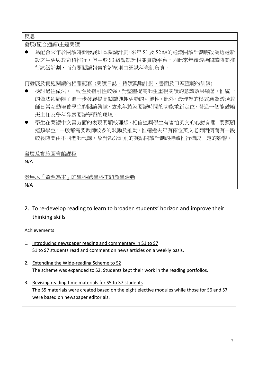反思

發展(配合通識)主題閱讀

● 為配合來年於閱讀時間發展班本閱讀計劃,來年 S1 及 S2 級的通識閱讀計劃將改為透過新 設之生活與教育科推行。但由於 S3 級暫缺乏相關實踐平台,因此來年續透過閱讀時間推 行該級計劃,而有關閱讀報告的評核則由通識科老師負責。

再發展及實施閱讀的相關配套 (閱讀日誌、持續獎勵計劃、書面及口頭匯報的訓練)

- 檢討過往做法,一致性及指引性較強,對整體提高師生重視閱讀的意識效果顯著,惟統一 的做法卻局限了進一步發展提高閱讀興趣活動的可能性。此外,最理想的模式應為透過教 師日常互動培養學生的閱讀興趣,故來年將就閱讀時間的功能重新定位,營造一個能鼓勵 班主任及學科發展閱讀學習的環境。
- 學生在閱讀中文書方面的表現明顯較理想,相信這與學生有害怕英文的心態有關。要照顧 這類學生,一般都需要教師較多的鼓勵及推動,惟適逢去年有兩位英文老師因病而有一段 較長時間由不同老師代課,故對部分班別的英語閱讀計劃的持續推行構成一定的影響。

發展及實施圖書館課程

N/A

發展以「資源為本」的學科/跨學科主題教學活動

N/A

2. To re-develop reading to learn to broaden students' horizon and improve their thinking skills

|    | Achievements                                                                                |  |  |  |  |
|----|---------------------------------------------------------------------------------------------|--|--|--|--|
|    |                                                                                             |  |  |  |  |
| 1. | Introducing newspaper reading and commentary in S1 to S7                                    |  |  |  |  |
|    | S1 to S7 students read and comment on news articles on a weekly basis.                      |  |  |  |  |
| 2. | Extending the Wide-reading Scheme to S2                                                     |  |  |  |  |
|    | The scheme was expanded to S2. Students kept their work in the reading portfolios.          |  |  |  |  |
| 3. | Revising reading time materials for S5 to S7 students                                       |  |  |  |  |
|    | The S5 materials were created based on the eight elective modules while those for S6 and S7 |  |  |  |  |
|    | were based on newspaper editorials.                                                         |  |  |  |  |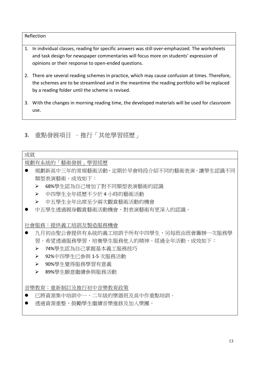### Reflection

- 1. In individual classes, reading for specific answers was still over-emphasized. The worksheets and task design for newspaper commentaries will focus more on students' expression of opinions or their response to open‐ended questions.
- 2. There are several reading schemes in practice, which may cause confusion at times. Therefore, the schemes are to be streamlined and in the meantime the reading portfolio will be replaced by a reading folder until the scheme is revised.
- 3. With the changes in morning reading time, the developed materials will be used for classroom use.
- 3. 重點發展項目 –推行「其他學習經歷」

# 成就 規劃有系統的「藝術發展」學習經歷 規劃新高中三年的常規藝術活動,定期於早會時段介紹不同的藝術表演,讓學生認識不同 類型表演藝術。成效如下: ▶ 68%學生認為自己增加了對不同類型表演藝術的認識 ¾ 中四學生全年經歷不少於 4 小時的藝術活動 ¾ 中五學生全年出席至少兩次觀賞藝術活動的機會 中五學生透過親身觀賞藝術活動機會,對表演藝術有更深入的認識。 社會服務:提供義工培訓及製造服務機會 ● 九月初由聖公會提供有系統的義工培訓予所有中四學生,另每班由班會籌辦一次服務學 習。希望透過服務學習,培養學生服務他人的精神。經過全年活動,成效如下: ▶ 74%學生認為自己掌握基本義工服務技巧 ▶ 92%中四學牛已參與 1-5 次服務活動 ▶ 90%學生覺得服務學習有意義 ▶ 89%學生願意繼續參與服務活動 音樂教育:重新制訂及推行初中音樂教育政策 已將資源集中培訓中一、二年級的樂器班及高中作重點培訓。 透過資源重整,鼓勵學生繼續音樂進修及加入樂團。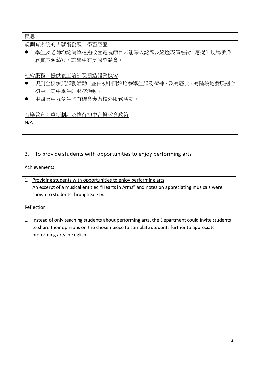反思

規劃有系統的「藝術發展」學習經歷

● 學生及老師均認為單透過校園電視節目未能深入認識及經歷表演藝術,應提供現場參與, 欣賞表演藝術,讓學生有更深刻體會。

社會服務:提供義工培訓及製造服務機會

- 規劃全校參與服務活動,並由初中開始培養學生服務精神,及有層次、有階段地發展適合 初中、高中學生的服務活動。
- 中四及中五學生均有機會參與校外服務活動。

音樂教育:重新制訂及推行初中音樂教育政策

N/A

# 3. To provide students with opportunities to enjoy performing arts

| Achievements                                                                                                                                                                                                                  |  |
|-------------------------------------------------------------------------------------------------------------------------------------------------------------------------------------------------------------------------------|--|
| Providing students with opportunities to enjoy performing arts<br>An excerpt of a musical entitled "Hearts in Arms" and notes on appreciating musicals were<br>shown to students through SeeTV.                               |  |
| Reflection                                                                                                                                                                                                                    |  |
| Instead of only teaching students about performing arts, the Department could invite students<br>1.<br>to share their opinions on the chosen piece to stimulate students further to appreciate<br>preforming arts in English. |  |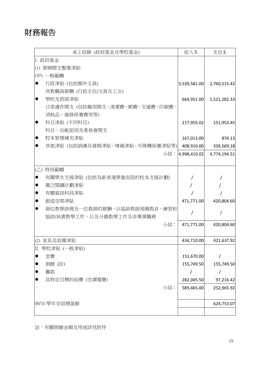# 財務報告

| 承上結餘 (政府基金及學校基金)                     | 收入 \$            | 支出\$         |
|--------------------------------------|------------------|--------------|
| I. 政府基金                              |                  |              |
| (1) 營辦開支整筆津貼                         |                  |              |
| (甲) 一般範疇                             |                  |              |
| 行政津貼 (包括額外文員)<br>$\bullet$           | 3,539,581.00     | 2,760,515.42 |
| 非教職員薪酬 (行政主任/文員及工友)                  |                  |              |
| 學校及班級津貼<br>●                         | 664,951.00       | 1,521,282.33 |
| 日常運作開支 (包括雜用開支、清潔費、郵費、交通費、印刷費、       |                  |              |
| 消耗品、維修保養費用等)                         |                  |              |
| 科目津貼 (不同科目)<br>●                     | 217,955.02       | 151,953.45   |
| 科目、功能組別及委員會開支                        |                  |              |
| 校本管理補充津貼<br>$\bullet$                | 167,013.00       | 874.13       |
| 其他津貼 (包括訓練及發展津貼、增補津貼、升降機保養津貼等) <br>● | 408,910.00       | 339,569.18   |
|                                      | 小結: 4,998,410.02 | 4,774,194.51 |
|                                      |                  |              |
| $(\mathbb{Z})$<br>特別範疇               |                  |              |
| 有關學生支援津貼 (包括為新來港學童而設的校本支援計劃)         |                  |              |
| 廣泛閱讀計劃津貼                             |                  |              |
| 有關資訊科技津貼                             |                  |              |
| 創造空間津貼                               | 471,771.00       | 420,804.60   |
| 兩位教學助理及一位教師的薪酬,以協助教師預備教具、練習和         |                  |              |
| 協助/負責教學工作,以及分擔教學工作及非專業職務             |                  |              |
| 小結:                                  | 471,771.00       | 420,804.60   |
|                                      |                  |              |
| (2) 家具及設備津貼                          | 434,710.00       | 421,637.92   |
| Ⅱ. 學校津貼 (一般津貼)                       |                  |              |
| 堂費                                   | 151,670.00       |              |
| 捐贈(註)                                | 155,749.50       | 155,749.50   |
| 籌款                                   |                  | $\prime$     |
| 具特定目標的收費 (空調電費)                      | 282,045.50       | 97,216.42    |
| 小結:                                  | 589,465.00       | 252,965.92   |
|                                      |                  |              |
| 09/10 學年完結總盈餘                        |                  | 624,753.07   |
|                                      |                  |              |

註:有關捐贈金額及用途詳見附件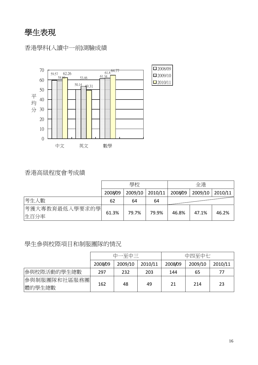學生表現

香港學科(入讀中一前)測驗成績



# 香港高級程度會考成績

|                         |         | 學校    |                 | 全港      |                 |       |
|-------------------------|---------|-------|-----------------|---------|-----------------|-------|
|                         | 2008/09 |       | 2009/10 2010/11 | 2008/09 | 2009/10 2010/11 |       |
| 考生人數                    | 62      | 64    | 64              |         |                 |       |
| 考獲大專教育最低入學要求的學 <br>生百分率 | 61.3%   | 79.7% | 79.9%           | 46.8%   | 47.1%           | 46.2% |

### 學生參與校際項目和制服團隊的情況

|                         | 中一至中三   |         |         | 中四至中七   |         |         |
|-------------------------|---------|---------|---------|---------|---------|---------|
|                         | 2008/09 | 2009/10 | 2010/11 | 2008/09 | 2009/10 | 2010/11 |
| 參與校際活動的學生總數             | 297     | 232     | 203     | 144     | 65      | 77      |
| 參與制服團隊和社區服務團 <br>體的學生總數 | 162     | 48      | 49      | 21      | 214     | 23      |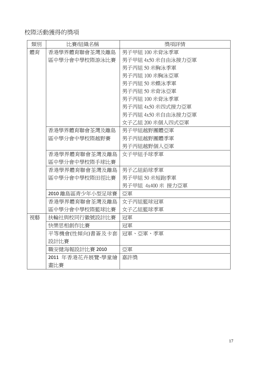# 校際活動獲得的獎項

| 類別 | 比賽/組織名稱          | 獎項詳情               |
|----|------------------|--------------------|
| 體育 | 香港學界體育聯會荃灣及離島    | 男子甲組 100 米背泳季軍     |
|    | 區中學分會中學校際游泳比賽    | 男子甲組 4x50 米自由泳接力亞軍 |
|    |                  | 男子丙組 50 米胸泳季軍      |
|    |                  | 男子丙組 100 米胸泳亞軍     |
|    |                  | 男子丙組 50 米蝶泳季軍      |
|    |                  | 男子丙組 50 米背泳亞軍      |
|    |                  | 男子丙組 100 米背泳季軍     |
|    |                  | 男子丙組 4x50 米四式接力亞軍  |
|    |                  | 男子丙組 4x50 米自由泳接力亞軍 |
|    |                  | 女子乙組 200 米個人四式亞軍   |
|    | 香港學界體育聯會荃灣及離島    | 男子甲組越野團體亞軍         |
|    | 區中學分會中學校際越野賽     | 男子丙組越野團體季軍         |
|    |                  | 男子丙組越野個人亞軍         |
|    | 香港學界體育聯會荃灣及離島    | 女子甲組手球季軍           |
|    | 區中學分會中學校際手球比賽    |                    |
|    | 香港學界體育聯會荃灣及離島    | 男子乙組鉛球季軍           |
|    | 區中學分會中學校際田徑比賽    | 男子甲組 50 米短跑季軍      |
|    |                  | 男子甲組 4x400 米 接力亞軍  |
|    | 2010 離島區青少年小型足球賽 | 亞軍                 |
|    | 香港學界體育聯會荃灣及離島    | 女子丙組籃球冠軍           |
|    | 區中學分會中學校際籃球比賽    | 女子乙組籃球季軍           |
| 視藝 | 扶輪社與校同行徽號設計比賽    | 冠軍                 |
|    | 快樂思相創作比賽         | 冠軍                 |
|    | 平等機會(性傾向)書簽及卡套   | 冠軍、亞軍、季軍           |
|    | 設計比賽             |                    |
|    | 職安健海報設計比賽 2010   | 亞軍                 |
|    | 2011 年香港花卉展覽-學童繪 | 嘉許獎                |
|    | 畫比賽              |                    |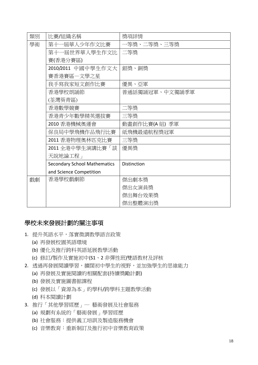| 類別 | 比賽/組織名稱                             | 獎項詳情               |
|----|-------------------------------------|--------------------|
| 學術 | 第十一屆華人少年作文比賽                        | 一等獎、二等獎、三等獎        |
|    | 第十一屆世界華人學生作文比                       | 二等獎                |
|    | 賽(香港分賽區)                            |                    |
|    | 2010/2011 中國中學生作文大                  | 銀獎、銅獎              |
|    | 賽香港賽區一文學之星                          |                    |
|    | 我手寫我家短文創作比賽                         | 優異、亞軍              |
|    | 香港學校朗誦節                             | 普通話獨誦冠軍、中文獨誦季軍     |
|    | (荃灣葵青區)                             |                    |
|    | 香港數學競賽                              | 二等獎                |
|    | 香港青少年數學精英選拔賽                        | 三等獎                |
|    | 2010 香港機械奧運會                        | 動畫創作比賽(A 組) 季軍     |
|    | 保良局中學飛機作品飛行比賽                       | 紙飛機最遠航程獎冠軍         |
|    | 2011 香港物理奧林匹克比賽                     | 三等獎                |
|    | 2011 全港中學生演講比賽「談」                   | 優異獎                |
|    | 天說地論工程」                             |                    |
|    | <b>Secondary School Mathematics</b> | <b>Distinction</b> |
|    | and Science Competition             |                    |
| 戲劇 | 香港學校戲劇節                             | 傑出劇本獎              |
|    |                                     | 傑出女演員獎             |
|    |                                     | 傑出舞台效果獎            |
|    |                                     | 傑出整體演出獎            |

## 學校未來發展計劃的關注事項

- 1. 提升英語水平,落實微調教學語言政策
	- (a) 再發展校園英語環境
	- (b) 優化及推行跨科英語延展教學活動
	- (c) 修訂/製作及實施初中(S1、2 非彈性班)雙語教材及評核
- 2. 透過再發展閱讀學習,擴闊初中學生的視野,並加強學生的思維能力
	- (a) 再發展及實施閱讀的相關配套(持續獎勵計劃)
	- (b) 發展及實施圖書館課程
	- (c) 發展以「資源為本」的學科/跨學科主題教學活動
	- (d) 科本閱讀計劃
- 3. 推行「其他學習經歷」─ 藝術發展及社會服務
	- (a) 規劃有系統的「藝術發展」學習經歷
	- (b) 社會服務:提供義工培訓及製造服務機會
	- (c) 音樂教育:重新制訂及推行初中音樂教育政策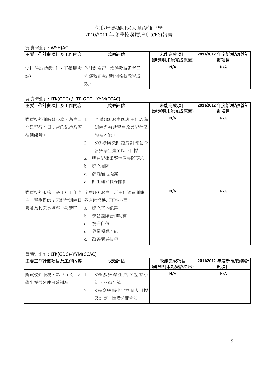### 保良局馬錦明夫人章馥仙中學 2010/2011 年度學校發展津貼(CEG)報告

### 負責老師 : WSH(AC)

| 主要工作計劃項目及工作內容               | 成效評估          | 未能完成項目<br>(請列明未能完成原因) | 2011/2012 年度新增/改善計<br>劃項目 |
|-----------------------------|---------------|-----------------------|---------------------------|
| 安排聘請助教(上、下學期考 依計劃進行,增聘臨時監考員 |               | N/A                   | N/A                       |
| 試                           | 能讓教師騰出時間檢視教學成 |                       |                           |
|                             | 效。            |                       |                           |

## 負責老師 : LTK(GDC) / LTK(GDC)+YYM(CCAC)

| 主要工作計劃項目及工作内容     |    | 成效評估              | 未能完成項目<br>(請列明未能完成原因) | 2011/2012 年度新增/改善計<br>劃項目 |
|-------------------|----|-------------------|-----------------------|---------------------------|
| 購買校外訓練營服務,為中四 1.  |    | 全體(100%)中四班主任認為   | N/A                   | N/A                       |
| 全級舉行4日3夜的紀律及領     |    | 訓練營有助學生改善紀律及      |                       |                           |
| 袖訓練營。             |    | 領袖才能。             |                       |                           |
|                   | 2. | 80%參與教師認為訓練營令     |                       |                           |
|                   |    | 參與學生達至以下目標:       |                       |                           |
|                   | a. | 明白紀律重要性及集隊要求      |                       |                           |
|                   | b. | 建立團隊              |                       |                           |
|                   | c. | 解難能力提高            |                       |                           |
|                   | d. | 師生建立良好關係          |                       |                           |
| 購買校外服務,為 10-11 年度 |    | 全體(100%)中一班主任認為訓練 | N/A                   | N/A                       |
| 中一學生提供 2 天紀律訓練日   |    | 營有助增進以下各方面:       |                       |                           |
| 營及為其家長舉辦一次講座      | a. | 建立基本紀律            |                       |                           |
|                   | b. | 學習團隊合作精神          |                       |                           |
|                   | c. | 提升自信              |                       |                           |
|                   | d. | 發掘領導才能            |                       |                           |
|                   | e. | 改善溝通技巧            |                       |                           |

### 負責老師 : LTK(GDC)+YYM(CCAC)

| 主要工作計劃項目及工作內容    |    | 成效評估          | 未能完成項目<br>(請列明未能完成原因) | 2011/2012 年度新增/改善計<br>劃項目 |
|------------------|----|---------------|-----------------------|---------------------------|
| 購買校外服務,為中五及中六 1. |    | 80%参與學生成立溫習小  | N/A                   | N/A                       |
| 學生提供延伸日營訓練       |    | 組, 互勵互勉       |                       |                           |
|                  | z. | 80%參與學生定立個人目標 |                       |                           |
|                  |    | 及計劃,準備公開考試    |                       |                           |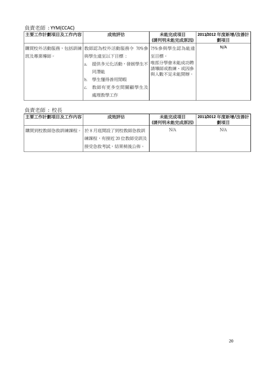## 負責老師 : YYM(CCAC)

| 主要工作計劃項目及工作內容 | 成效評估                                                                                                                                | 未能完成項目<br>(請列明未能完成原因)            | 2011/2012 年度新增/改善計<br>劃項目 |
|---------------|-------------------------------------------------------------------------------------------------------------------------------------|----------------------------------|---------------------------|
| 班及專業導師。       | 購買校外活動服務,包括訓練 教師認為校外活動服務令 70%參 75%參與學生認為能達<br>與學生達至以下目標:<br>提供多元化活動,發展學生不 唯部分學會未能成功聘<br>a.<br>同潛能<br>學生懂得善用閒暇<br>b.<br>教師有更多空間關顧學生及 | 至目標。<br>請導師或教練、或因參<br>與人數不足未能開辦。 | N/A                       |
|               | 處理教學工作                                                                                                                              |                                  |                           |

# 負責老師 : 校長

| 主要工作計劃項目及工作內容 | 成效評估                                   | 未能完成項目<br>(請列明未能完成原因) | 2011/2012 年度新增/改善計<br>劃項目 |
|---------------|----------------------------------------|-----------------------|---------------------------|
| 購買到校教師急救訓練課程。 | 於 8 月底開設了到校教師急救訓<br> 練課程,有接近 20 位教師受訓及 | N/A                   | N/A                       |
|               | 接受急救考試,結果稍後公佈。                         |                       |                           |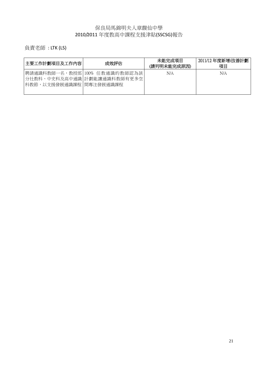### 保良局馬錦明夫人章馥仙中學 2010/2011 年度教高中課程支援津貼(SSCSG)報告

負責老師 : LTK (LS)

| 主要工作計劃項目及工作內容           | 成效評估                                                           | 未能完成項目<br>(請列明未能完成原因) | 2011/12 年度新增/改善計劃<br>項目 |
|-------------------------|----------------------------------------------------------------|-----------------------|-------------------------|
| 科教節,以支援發展通識課程 間專注發展通識課程 | 聘請通識科教師一名,教授部 100% 任教通識的教師認為該 <br> 分社教科、中史科及高中通識 計劃能讓通識科教師有更多空 | N/A                   | N/A                     |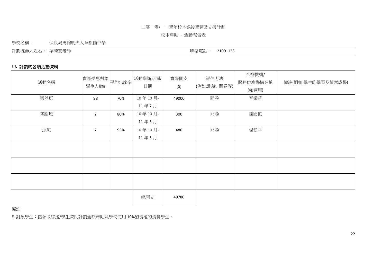#### 二零一零/一一學年校本課後學習及支援計劃

#### 校本津貼 ‐ 活動報告表

學校名稱 : 保良局馬錦明夫人章馥仙中學

計劃統籌人姓名 : 葉綺雯老師 カランス かんしゃ かんしゃ かんしゃ かんしゃ かんこう (聯絡電話 : 21091133

### 甲**.** 計劃的各項活動資料

| 活動名稱 | 實際受惠對象<br>學生人數# | 平均出席率 | 活動舉辦期間/<br>日期 | 實際開支<br>(5) | 評估方法<br>(例如:測驗,問卷等) | 合辦機構/<br>服務供應機構名稱<br>(如適用) | 備註(例如:學生的學習及情意成果) |
|------|-----------------|-------|---------------|-------------|---------------------|----------------------------|-------------------|
| 樂器班  | 98              | 70%   | 10年10月        | 49000       | 問卷                  | 音樂苗                        |                   |
|      |                 |       | 11年7月         |             |                     |                            |                   |
| 舞蹈班  | $\overline{2}$  | 80%   | 10年10月        | 300         | 問卷                  | 陳國恒                        |                   |
|      |                 |       | 11年6月         |             |                     |                            |                   |
| 泳班   | $\overline{7}$  | 95%   | 10年10月        | 480         | 問卷                  | 楊健平                        |                   |
|      |                 |       | 11年6月         |             |                     |                            |                   |
|      |                 |       |               |             |                     |                            |                   |
|      |                 |       |               |             |                     |                            |                   |
|      |                 |       |               |             |                     |                            |                   |
|      |                 |       |               |             |                     |                            |                   |
|      |                 |       |               |             |                     |                            |                   |

總開支 49780

備註:

# 對象學生:指領取綜援/學生資助計劃全額津貼及學校使用 10%酌情權的清貧學生。